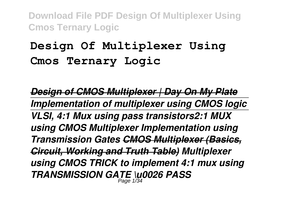# **Design Of Multiplexer Using Cmos Ternary Logic**

*Design of CMOS Multiplexer | Day On My Plate Implementation of multiplexer using CMOS logic VLSI, 4:1 Mux using pass transistors2:1 MUX using CMOS Multiplexer Implementation using Transmission Gates CMOS Multiplexer (Basics, Circuit, Working and Truth Table) Multiplexer using CMOS TRICK to implement 4:1 mux using TRANSMISSION GATE \u0026 PASS* Page 1/34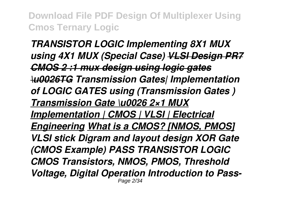*TRANSISTOR LOGIC Implementing 8X1 MUX using 4X1 MUX (Special Case) VLSI Design PR7 CMOS 2 :1 mux design using logic gates \u0026TG Transmission Gates| Implementation of LOGIC GATES using (Transmission Gates ) Transmission Gate \u0026 2×1 MUX Implementation | CMOS | VLSI | Electrical Engineering What is a CMOS? [NMOS, PMOS] VLSI stick Digram and layout design XOR Gate (CMOS Example) PASS TRANSISTOR LOGIC CMOS Transistors, NMOS, PMOS, Threshold Voltage, Digital Operation Introduction to Pass-*Page 2/34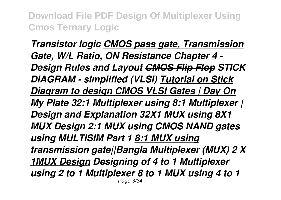*Transistor logic CMOS pass gate, Transmission Gate, W/L Ratio, ON Resistance Chapter 4 - Design Rules and Layout CMOS Flip Flop STICK DIAGRAM - simplified (VLSI) Tutorial on Stick Diagram to design CMOS VLSI Gates | Day On My Plate 32:1 Multiplexer using 8:1 Multiplexer | Design and Explanation 32X1 MUX using 8X1 MUX Design 2:1 MUX using CMOS NAND gates using MULTISIM Part 1 8:1 MUX using transmission gate||Bangla Multiplexer (MUX) 2 X 1MUX Design Designing of 4 to 1 Multiplexer using 2 to 1 Multiplexer 8 to 1 MUX using 4 to 1* Page 3/34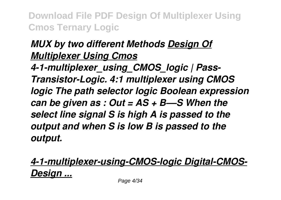## *MUX by two different Methods Design Of Multiplexer Using Cmos*

*4-1-multiplexer\_using\_CMOS\_logic | Pass-Transistor-Logic. 4:1 multiplexer using CMOS logic The path selector logic Boolean expression can be given as : Out = AS + B––S When the select line signal S is high A is passed to the output and when S is low B is passed to the output.*

*4-1-multiplexer-using-CMOS-logic Digital-CMOS-Design ...*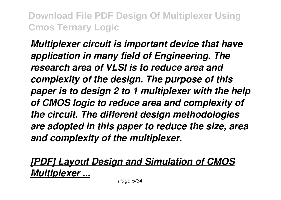*Multiplexer circuit is important device that have application in many field of Engineering. The research area of VLSI is to reduce area and complexity of the design. The purpose of this paper is to design 2 to 1 multiplexer with the help of CMOS logic to reduce area and complexity of the circuit. The different design methodologies are adopted in this paper to reduce the size, area and complexity of the multiplexer.*

*[PDF] Layout Design and Simulation of CMOS Multiplexer ...*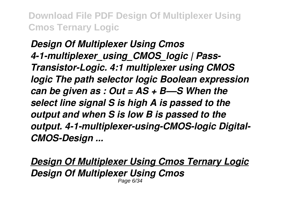*Design Of Multiplexer Using Cmos 4-1-multiplexer\_using\_CMOS\_logic | Pass-Transistor-Logic. 4:1 multiplexer using CMOS logic The path selector logic Boolean expression can be given as : Out = AS + B––S When the select line signal S is high A is passed to the output and when S is low B is passed to the output. 4-1-multiplexer-using-CMOS-logic Digital-CMOS-Design ...*

*Design Of Multiplexer Using Cmos Ternary Logic Design Of Multiplexer Using Cmos* Page 6/34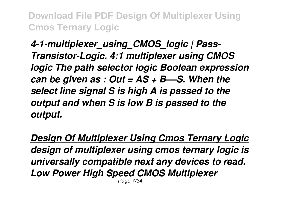*4-1-multiplexer\_using\_CMOS\_logic | Pass-Transistor-Logic. 4:1 multiplexer using CMOS logic The path selector logic Boolean expression can be given as : Out = AS + B––S. When the select line signal S is high A is passed to the output and when S is low B is passed to the output.*

*Design Of Multiplexer Using Cmos Ternary Logic design of multiplexer using cmos ternary logic is universally compatible next any devices to read. Low Power High Speed CMOS Multiplexer* Page 7/34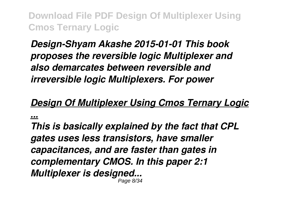*Design-Shyam Akashe 2015-01-01 This book proposes the reversible logic Multiplexer and also demarcates between reversible and irreversible logic Multiplexers. For power*

#### *Design Of Multiplexer Using Cmos Ternary Logic*

*...*

*This is basically explained by the fact that CPL gates uses less transistors, have smaller capacitances, and are faster than gates in complementary CMOS. In this paper 2:1 Multiplexer is designed...* Page 8/34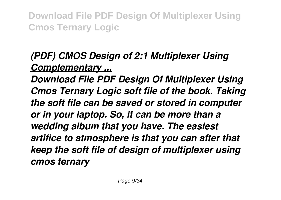# *(PDF) CMOS Design of 2:1 Multiplexer Using*

### *Complementary ...*

*Download File PDF Design Of Multiplexer Using Cmos Ternary Logic soft file of the book. Taking the soft file can be saved or stored in computer or in your laptop. So, it can be more than a wedding album that you have. The easiest artifice to atmosphere is that you can after that keep the soft file of design of multiplexer using cmos ternary*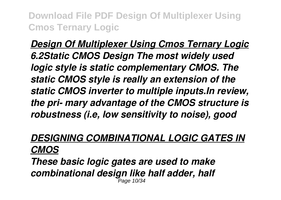*Design Of Multiplexer Using Cmos Ternary Logic 6.2Static CMOS Design The most widely used logic style is static complementary CMOS. The static CMOS style is really an extension of the static CMOS inverter to multiple inputs.In review, the pri- mary advantage of the CMOS structure is robustness (i.e, low sensitivity to noise), good*

# *DESIGNING COMBINATIONAL LOGIC GATES IN CMOS*

*These basic logic gates are used to make combinational design like half adder, half* Page 10/34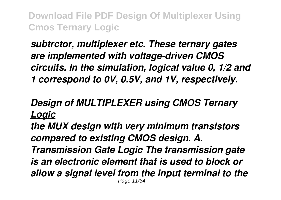*subtrctor, multiplexer etc. These ternary gates are implemented with voltage-driven CMOS circuits. In the simulation, logical value 0, 1/2 and 1 correspond to 0V, 0.5V, and 1V, respectively.*

### *Design of MULTIPLEXER using CMOS Ternary Logic*

*the MUX design with very minimum transistors compared to existing CMOS design. A. Transmission Gate Logic The transmission gate is an electronic element that is used to block or allow a signal level from the input terminal to the* Page 11/34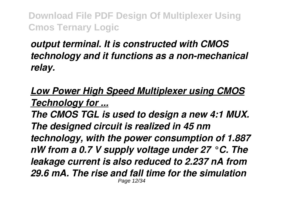## *output terminal. It is constructed with CMOS technology and it functions as a non-mechanical relay.*

## *Low Power High Speed Multiplexer using CMOS Technology for ...*

*The CMOS TGL is used to design a new 4:1 MUX. The designed circuit is realized in 45 nm technology, with the power consumption of 1.887 nW from a 0.7 V supply voltage under 27 °C. The leakage current is also reduced to 2.237 nA from 29.6 mA. The rise and fall time for the simulation* Page 12/34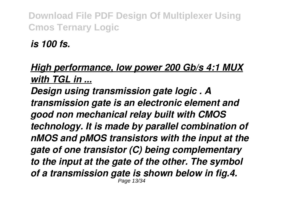*is 100 fs.*

## *High performance, low power 200 Gb/s 4:1 MUX with TGL in ...*

*Design using transmission gate logic . A transmission gate is an electronic element and good non mechanical relay built with CMOS technology. It is made by parallel combination of nMOS and pMOS transistors with the input at the gate of one transistor (C) being complementary to the input at the gate of the other. The symbol of a transmission gate is shown below in fig.4.* Page 13/34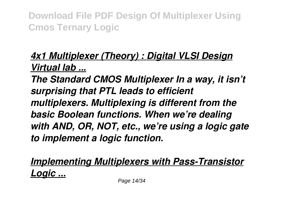## *4x1 Multiplexer (Theory) : Digital VLSI Design Virtual lab ...*

*The Standard CMOS Multiplexer In a way, it isn't surprising that PTL leads to efficient multiplexers. Multiplexing is different from the basic Boolean functions. When we're dealing with AND, OR, NOT, etc., we're using a logic gate to implement a logic function.*

*Implementing Multiplexers with Pass-Transistor Logic ...*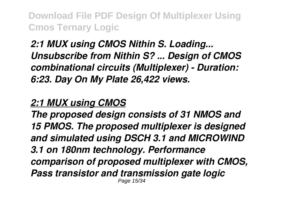*2:1 MUX using CMOS Nithin S. Loading... Unsubscribe from Nithin S? ... Design of CMOS combinational circuits (Multiplexer) - Duration: 6:23. Day On My Plate 26,422 views.*

#### *2:1 MUX using CMOS*

*The proposed design consists of 31 NMOS and 15 PMOS. The proposed multiplexer is designed and simulated using DSCH 3.1 and MICROWIND 3.1 on 180nm technology. Performance comparison of proposed multiplexer with CMOS, Pass transistor and transmission gate logic* Page 15/34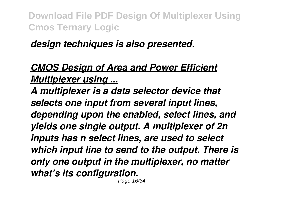*design techniques is also presented.*

## *CMOS Design of Area and Power Efficient Multiplexer using ...*

*A multiplexer is a data selector device that selects one input from several input lines, depending upon the enabled, select lines, and yields one single output. A multiplexer of 2n inputs has n select lines, are used to select which input line to send to the output. There is only one output in the multiplexer, no matter what's its configuration.* Page 16/34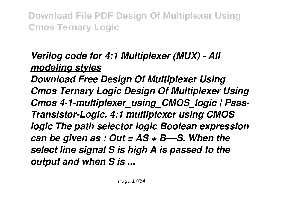### *Verilog code for 4:1 Multiplexer (MUX) - All modeling styles*

*Download Free Design Of Multiplexer Using Cmos Ternary Logic Design Of Multiplexer Using Cmos 4-1-multiplexer\_using\_CMOS\_logic | Pass-Transistor-Logic. 4:1 multiplexer using CMOS logic The path selector logic Boolean expression can be given as : Out = AS + B––S. When the select line signal S is high A is passed to the output and when S is ...*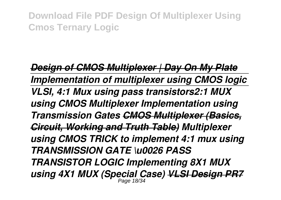*Design of CMOS Multiplexer | Day On My Plate Implementation of multiplexer using CMOS logic VLSI, 4:1 Mux using pass transistors2:1 MUX using CMOS Multiplexer Implementation using Transmission Gates CMOS Multiplexer (Basics, Circuit, Working and Truth Table) Multiplexer using CMOS TRICK to implement 4:1 mux using TRANSMISSION GATE \u0026 PASS TRANSISTOR LOGIC Implementing 8X1 MUX using 4X1 MUX (Special Case) VLSI Design PR7* Page 18/34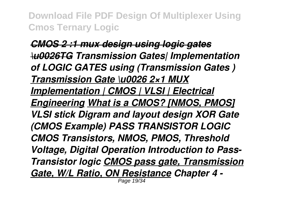*CMOS 2 :1 mux design using logic gates \u0026TG Transmission Gates| Implementation of LOGIC GATES using (Transmission Gates ) Transmission Gate \u0026 2×1 MUX Implementation | CMOS | VLSI | Electrical Engineering What is a CMOS? [NMOS, PMOS] VLSI stick Digram and layout design XOR Gate (CMOS Example) PASS TRANSISTOR LOGIC CMOS Transistors, NMOS, PMOS, Threshold Voltage, Digital Operation Introduction to Pass-Transistor logic CMOS pass gate, Transmission Gate, W/L Ratio, ON Resistance Chapter 4 -* Page 19/34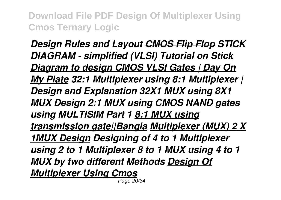*Design Rules and Layout CMOS Flip Flop STICK DIAGRAM - simplified (VLSI) Tutorial on Stick Diagram to design CMOS VLSI Gates | Day On My Plate 32:1 Multiplexer using 8:1 Multiplexer | Design and Explanation 32X1 MUX using 8X1 MUX Design 2:1 MUX using CMOS NAND gates using MULTISIM Part 1 8:1 MUX using transmission gate||Bangla Multiplexer (MUX) 2 X 1MUX Design Designing of 4 to 1 Multiplexer using 2 to 1 Multiplexer 8 to 1 MUX using 4 to 1 MUX by two different Methods Design Of Multiplexer Using Cmos* Page 20/34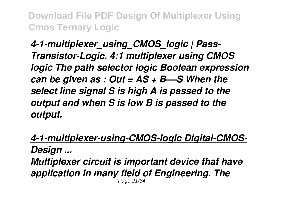*4-1-multiplexer\_using\_CMOS\_logic | Pass-Transistor-Logic. 4:1 multiplexer using CMOS logic The path selector logic Boolean expression can be given as : Out = AS + B––S When the select line signal S is high A is passed to the output and when S is low B is passed to the output.*

*4-1-multiplexer-using-CMOS-logic Digital-CMOS-Design ... Multiplexer circuit is important device that have application in many field of Engineering. The* Page 21/34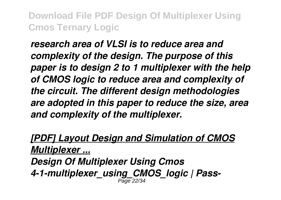*research area of VLSI is to reduce area and complexity of the design. The purpose of this paper is to design 2 to 1 multiplexer with the help of CMOS logic to reduce area and complexity of the circuit. The different design methodologies are adopted in this paper to reduce the size, area and complexity of the multiplexer.*

*[PDF] Layout Design and Simulation of CMOS Multiplexer ... Design Of Multiplexer Using Cmos 4-1-multiplexer\_using\_CMOS\_logic | Pass-*Page 22/34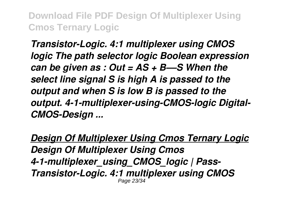*Transistor-Logic. 4:1 multiplexer using CMOS logic The path selector logic Boolean expression can be given as : Out = AS + B––S When the select line signal S is high A is passed to the output and when S is low B is passed to the output. 4-1-multiplexer-using-CMOS-logic Digital-CMOS-Design ...*

*Design Of Multiplexer Using Cmos Ternary Logic Design Of Multiplexer Using Cmos 4-1-multiplexer\_using\_CMOS\_logic | Pass-Transistor-Logic. 4:1 multiplexer using CMOS* Page 23/34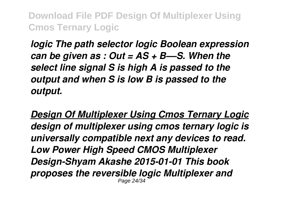*logic The path selector logic Boolean expression can be given as : Out = AS + B––S. When the select line signal S is high A is passed to the output and when S is low B is passed to the output.*

*Design Of Multiplexer Using Cmos Ternary Logic design of multiplexer using cmos ternary logic is universally compatible next any devices to read. Low Power High Speed CMOS Multiplexer Design-Shyam Akashe 2015-01-01 This book proposes the reversible logic Multiplexer and* Page 24/34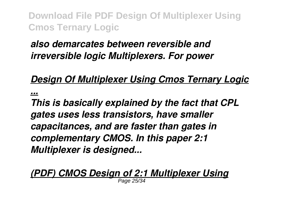## *also demarcates between reversible and irreversible logic Multiplexers. For power*

### *Design Of Multiplexer Using Cmos Ternary Logic*

*...*

*This is basically explained by the fact that CPL gates uses less transistors, have smaller capacitances, and are faster than gates in complementary CMOS. In this paper 2:1 Multiplexer is designed...*

#### *(PDF) CMOS Design of 2:1 Multiplexer Using*

Page 25/34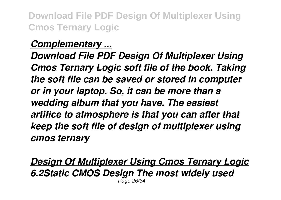#### *Complementary ...*

*Download File PDF Design Of Multiplexer Using Cmos Ternary Logic soft file of the book. Taking the soft file can be saved or stored in computer or in your laptop. So, it can be more than a wedding album that you have. The easiest artifice to atmosphere is that you can after that keep the soft file of design of multiplexer using cmos ternary*

*Design Of Multiplexer Using Cmos Ternary Logic 6.2Static CMOS Design The most widely used*  $P<sub>2</sub>$ ne 26/3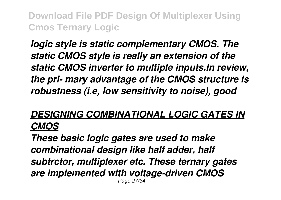*logic style is static complementary CMOS. The static CMOS style is really an extension of the static CMOS inverter to multiple inputs.In review, the pri- mary advantage of the CMOS structure is robustness (i.e, low sensitivity to noise), good*

#### *DESIGNING COMBINATIONAL LOGIC GATES IN CMOS*

*These basic logic gates are used to make combinational design like half adder, half subtrctor, multiplexer etc. These ternary gates are implemented with voltage-driven CMOS* Page 27/34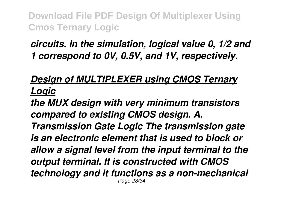### *circuits. In the simulation, logical value 0, 1/2 and 1 correspond to 0V, 0.5V, and 1V, respectively.*

### *Design of MULTIPLEXER using CMOS Ternary Logic*

*the MUX design with very minimum transistors compared to existing CMOS design. A. Transmission Gate Logic The transmission gate is an electronic element that is used to block or allow a signal level from the input terminal to the output terminal. It is constructed with CMOS technology and it functions as a non-mechanical* Page 28/34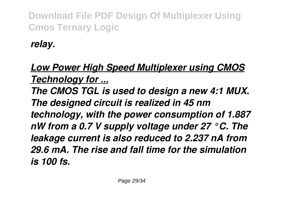*relay.*

## *Low Power High Speed Multiplexer using CMOS Technology for ...*

*The CMOS TGL is used to design a new 4:1 MUX. The designed circuit is realized in 45 nm technology, with the power consumption of 1.887 nW from a 0.7 V supply voltage under 27 °C. The leakage current is also reduced to 2.237 nA from 29.6 mA. The rise and fall time for the simulation is 100 fs.*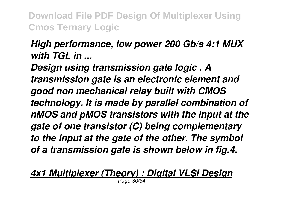## *High performance, low power 200 Gb/s 4:1 MUX with TGL in ...*

*Design using transmission gate logic . A transmission gate is an electronic element and good non mechanical relay built with CMOS technology. It is made by parallel combination of nMOS and pMOS transistors with the input at the gate of one transistor (C) being complementary to the input at the gate of the other. The symbol of a transmission gate is shown below in fig.4.*

#### *4x1 Multiplexer (Theory) : Digital VLSI Design*

Page 30/34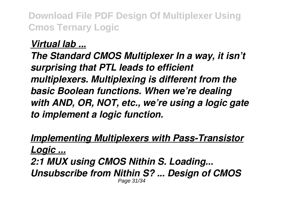#### *Virtual lab ...*

*The Standard CMOS Multiplexer In a way, it isn't surprising that PTL leads to efficient multiplexers. Multiplexing is different from the basic Boolean functions. When we're dealing with AND, OR, NOT, etc., we're using a logic gate to implement a logic function.*

*Implementing Multiplexers with Pass-Transistor Logic ... 2:1 MUX using CMOS Nithin S. Loading... Unsubscribe from Nithin S? ... Design of CMOS* Page 31/34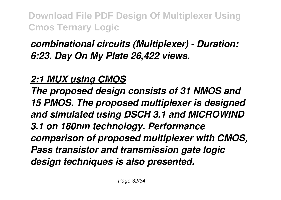## *combinational circuits (Multiplexer) - Duration: 6:23. Day On My Plate 26,422 views.*

## *2:1 MUX using CMOS*

*The proposed design consists of 31 NMOS and 15 PMOS. The proposed multiplexer is designed and simulated using DSCH 3.1 and MICROWIND 3.1 on 180nm technology. Performance comparison of proposed multiplexer with CMOS, Pass transistor and transmission gate logic design techniques is also presented.*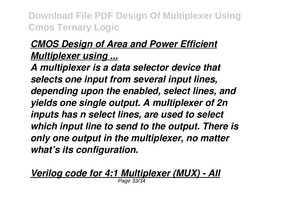## *CMOS Design of Area and Power Efficient Multiplexer using ...*

*A multiplexer is a data selector device that selects one input from several input lines, depending upon the enabled, select lines, and yields one single output. A multiplexer of 2n inputs has n select lines, are used to select which input line to send to the output. There is only one output in the multiplexer, no matter what's its configuration.*

*Verilog code for 4:1 Multiplexer (MUX) - All* Page 33/34